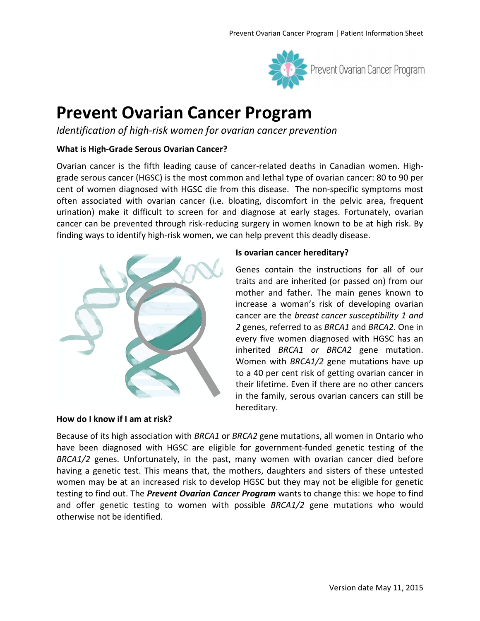

# **Prevent Ovarian Cancer Program**

*Identification of high-risk women for ovarian cancer prevention* 

#### **What is High-Grade Serous Ovarian Cancer?**

Ovarian cancer is the fifth leading cause of cancer-related deaths in Canadian women. Highgrade serous cancer (HGSC) is the most common and lethal type of ovarian cancer: 80 to 90 per cent of women diagnosed with HGSC die from this disease. The non-specific symptoms most often associated with ovarian cancer (i.e. bloating, discomfort in the pelvic area, frequent urination) make it difficult to screen for and diagnose at early stages. Fortunately, ovarian cancer can be prevented through risk-reducing surgery in women known to be at high risk. By finding ways to identify high-risk women, we can help prevent this deadly disease.



**How do I know if I am at risk?** 

#### **Is ovarian cancer hereditary?**

Genes contain the instructions for all of our traits and are inherited (or passed on) from our mother and father. The main genes known to increase a woman's risk of developing ovarian cancer are the *breast cancer susceptibility 1 and 2* genes, referred to as *BRCA1* and *BRCA2*. One in every five women diagnosed with HGSC has an inherited *BRCA1 or BRCA2* gene mutation. Women with *BRCA1/2* gene mutations have up to a 40 per cent risk of getting ovarian cancer in their lifetime. Even if there are no other cancers in the family, serous ovarian cancers can still be hereditary.

Because of its high association with *BRCA1* or *BRCA2* gene mutations, all women in Ontario who have been diagnosed with HGSC are eligible for government-funded genetic testing of the *BRCA1/2* genes. Unfortunately, in the past, many women with ovarian cancer died before having a genetic test. This means that, the mothers, daughters and sisters of these untested women may be at an increased risk to develop HGSC but they may not be eligible for genetic testing to find out. The *Prevent Ovarian Cancer Program* wants to change this: we hope to find and offer genetic testing to women with possible *BRCA1/2* gene mutations who would otherwise not be identified.